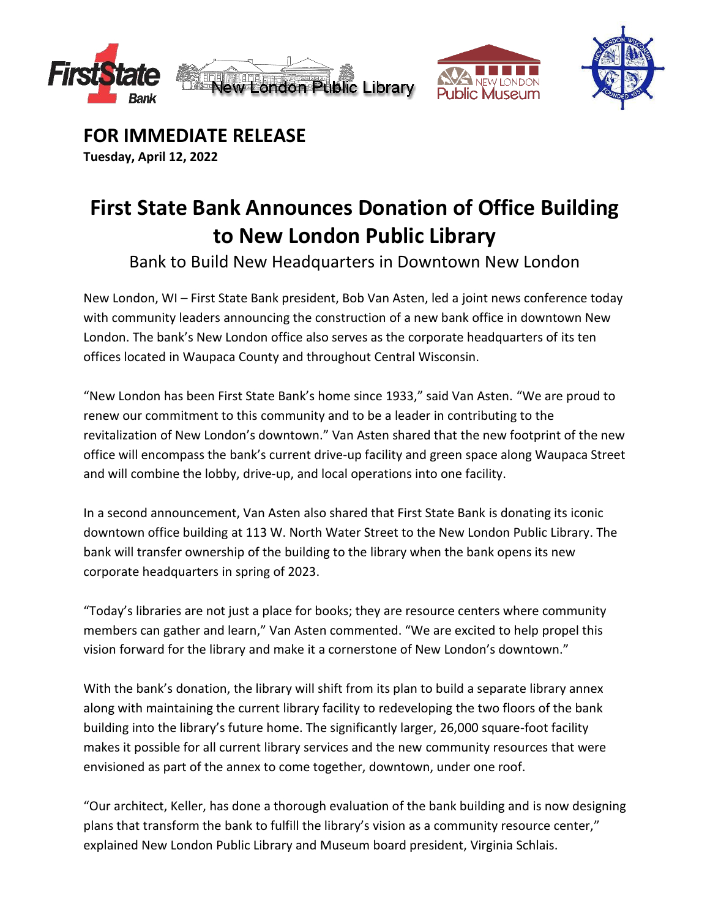





**FOR IMMEDIATE RELEASE Tuesday, April 12, 2022**

# **First State Bank Announces Donation of Office Building to New London Public Library**

Bank to Build New Headquarters in Downtown New London

New London, WI – First State Bank president, Bob Van Asten, led a joint news conference today with community leaders announcing the construction of a new bank office in downtown New London. The bank's New London office also serves as the corporate headquarters of its ten offices located in Waupaca County and throughout Central Wisconsin.

"New London has been First State Bank's home since 1933," said Van Asten. "We are proud to renew our commitment to this community and to be a leader in contributing to the revitalization of New London's downtown." Van Asten shared that the new footprint of the new office will encompass the bank's current drive-up facility and green space along Waupaca Street and will combine the lobby, drive-up, and local operations into one facility.

In a second announcement, Van Asten also shared that First State Bank is donating its iconic downtown office building at 113 W. North Water Street to the New London Public Library. The bank will transfer ownership of the building to the library when the bank opens its new corporate headquarters in spring of 2023.

"Today's libraries are not just a place for books; they are resource centers where community members can gather and learn," Van Asten commented. "We are excited to help propel this vision forward for the library and make it a cornerstone of New London's downtown."

With the bank's donation, the library will shift from its plan to build a separate library annex along with maintaining the current library facility to redeveloping the two floors of the bank building into the library's future home. The significantly larger, 26,000 square-foot facility makes it possible for all current library services and the new community resources that were envisioned as part of the annex to come together, downtown, under one roof.

"Our architect, Keller, has done a thorough evaluation of the bank building and is now designing plans that transform the bank to fulfill the library's vision as a community resource center," explained New London Public Library and Museum board president, Virginia Schlais.